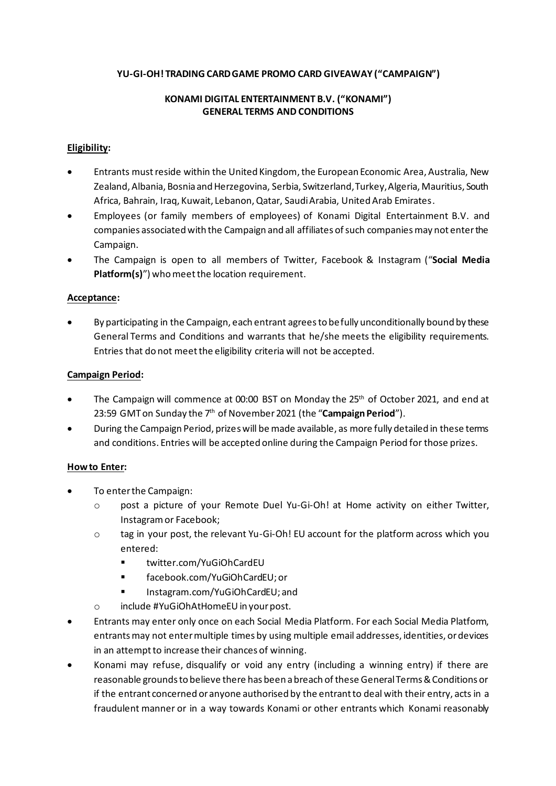#### **YU-GI-OH! TRADING CARD GAME PROMO CARD GIVEAWAY ("CAMPAIGN")**

### **KONAMI DIGITAL ENTERTAINMENT B.V. ("KONAMI") GENERAL TERMS AND CONDITIONS**

### **Eligibility:**

- Entrants must reside within the United Kingdom,the European Economic Area, Australia, New Zealand, Albania, Bosnia and Herzegovina, Serbia, Switzerland, Turkey, Algeria, Mauritius, South Africa, Bahrain, Iraq, Kuwait, Lebanon, Qatar, Saudi Arabia, United Arab Emirates.
- Employees (or family members of employees) of Konami Digital Entertainment B.V. and companies associated with the Campaign and all affiliates of such companies may not enter the Campaign.
- The Campaign is open to all members of Twitter, Facebook & Instagram ("**Social Media Platform(s)**") who meet the location requirement.

#### **Acceptance:**

• By participating in the Campaign, each entrant agreesto be fully unconditionally bound by these General Terms and Conditions and warrants that he/she meets the eligibility requirements. Entries that do not meet the eligibility criteria will not be accepted.

#### **Campaign Period:**

- The Campaign will commence at 00:00 BST on Monday the 25<sup>th</sup> of October 2021, and end at 23:59 GMT on Sunday the 7<sup>th</sup> of November 2021 (the "**Campaign Period**").
- During the Campaign Period, prizes will be made available, as more fully detailed in these terms and conditions. Entries will be accepted online during the Campaign Period for those prizes.

#### **How to Enter:**

- To enter the Campaign:
	- o post a picture of your Remote Duel Yu-Gi-Oh! at Home activity on either Twitter, Instagram or Facebook;
	- $\circ$  tag in your post, the relevant Yu-Gi-Oh! EU account for the platform across which you entered:
		- [twitter.com/YuGiOhCardEU](https://twitter.com/YuGiOhTCGEU)
		- facebook.com/YuGiOhCardEU; or
		- Instagram.com/YuGiOhCardEU; and
	- o include #YuGiOhAtHomeEU in your post.
- Entrants may enter only once on each Social Media Platform. For each Social Media Platform, entrants may not enter multiple times by using multiple email addresses, identities, or devices in an attempt to increase their chances of winning.
- Konami may refuse, disqualify or void any entry (including a winning entry) if there are reasonable grounds to believe there has been a breach of these General Terms & Conditions or if the entrant concerned or anyone authorised by the entrant to deal with their entry, acts in a fraudulent manner or in a way towards Konami or other entrants which Konami reasonably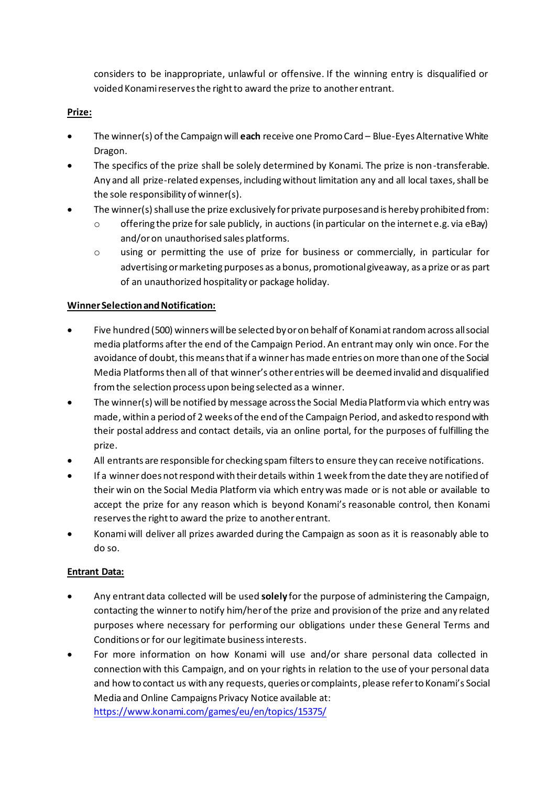considers to be inappropriate, unlawful or offensive. If the winning entry is disqualified or voided Konami reserves the right to award the prize to another entrant.

## **Prize:**

- The winner(s) of the Campaign will **each** receive one Promo Card Blue-Eyes Alternative White Dragon.
- The specifics of the prize shall be solely determined by Konami. The prize is non-transferable. Any and all prize-related expenses, including without limitation any and all local taxes, shall be the sole responsibility of winner(s).
- The winner(s) shall use the prize exclusively for private purposes and is hereby prohibited from:
	- $\circ$  offering the prize for sale publicly, in auctions (in particular on the internet e.g. via eBay) and/or on unauthorised sales platforms.
	- o using or permitting the use of prize for business or commercially, in particular for advertising or marketing purposes as a bonus, promotional giveaway, as a prize or as part of an unauthorized hospitality or package holiday.

### **Winner Selection and Notification:**

- Five hundred (500) winners will be selected by or on behalf of Konami at randomacross all social media platforms after the end of the Campaign Period. An entrant may only win once. For the avoidance of doubt, this means that if a winnerhas made entries on more than one of the Social Media Platformsthen all of that winner's other entries will be deemed invalid and disqualified from the selection process upon being selected as a winner.
- The winner(s) will be notified by message across the Social Media Platform via which entry was made, within a period of 2 weeks of the end of the Campaign Period, and asked to respond with their postal address and contact details, via an online portal, for the purposes of fulfilling the prize.
- All entrants are responsible for checking spam filters to ensure they can receive notifications.
- If a winner does not respond with their details within 1 week from the date they are notified of their win on the Social Media Platform via which entry was made or is not able or available to accept the prize for any reason which is beyond Konami's reasonable control, then Konami reserves the right to award the prize to another entrant.
- Konami will deliver all prizes awarded during the Campaign as soon as it is reasonably able to do so.

## **Entrant Data:**

- Any entrant data collected will be used **solely** for the purpose of administering the Campaign, contacting the winner to notify him/her of the prize and provision of the prize and any related purposes where necessary for performing our obligations under these General Terms and Conditions or for our legitimate business interests.
- For more information on how Konami will use and/or share personal data collected in connection with this Campaign, and on your rights in relation to the use of your personal data and how to contact us with any requests, queries or complaints, please refer to Konami's Social Media and Online Campaigns Privacy Notice available at: <https://www.konami.com/games/eu/en/topics/15375/>